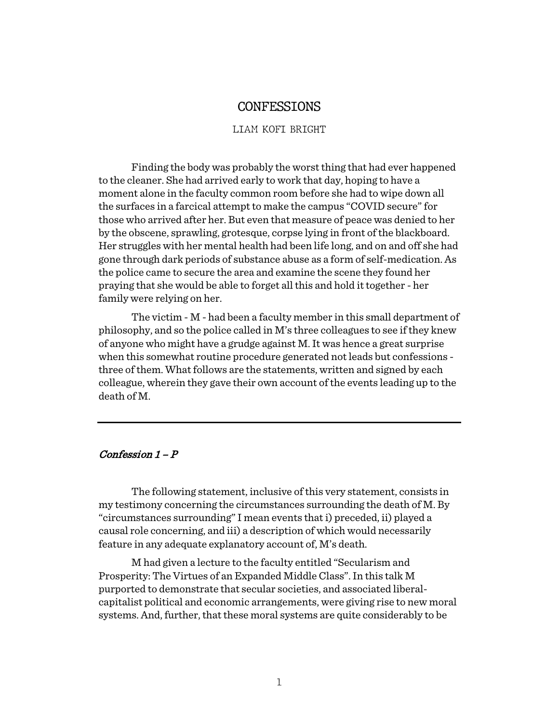# CONFESSIONS

#### LIAM KOFI BRIGHT

Finding the body was probably the worst thing that had ever happened to the cleaner. She had arrived early to work that day, hoping to have a moment alone in the faculty common room before she had to wipe down all the surfaces in a farcical attempt to make the campus "COVID secure" for those who arrived after her. But even that measure of peace was denied to her by the obscene, sprawling, grotesque, corpse lying in front of the blackboard. Her struggles with her mental health had been life long, and on and off she had gone through dark periods of substance abuse as a form of self-medication. As the police came to secure the area and examine the scene they found her praying that she would be able to forget all this and hold it together - her family were relying on her.

The victim - M - had been a faculty member in this small department of philosophy, and so the police called in M's three colleagues to see if they knew of anyone who might have a grudge against M. It was hence a great surprise when this somewhat routine procedure generated not leads but confessions three of them. What follows are the statements, written and signed by each colleague, wherein they gave their own account of the events leading up to the death of M.

### Confession  $1 - P$

The following statement, inclusive of this very statement, consists in my testimony concerning the circumstances surrounding the death of M. By "circumstances surrounding" I mean events that i) preceded, ii) played a causal role concerning, and iii) a description of which would necessarily feature in any adequate explanatory account of, M's death.

M had given a lecture to the faculty entitled "Secularism and Prosperity: The Virtues of an Expanded Middle Class". In this talk M purported to demonstrate that secular societies, and associated liberalcapitalist political and economic arrangements, were giving rise to new moral systems. And, further, that these moral systems are quite considerably to be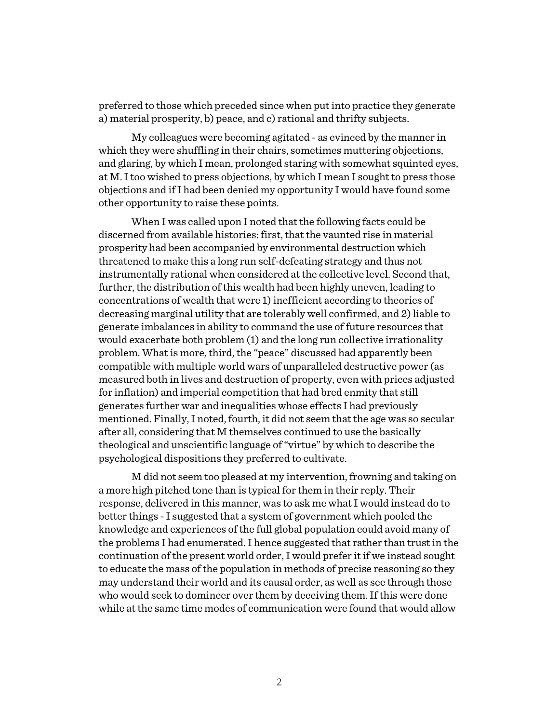preferred to those which preceded since when put into practice they generate a) material prosperity, b) peace, and c) rational and thrifty subjects.

My colleagues were becoming agitated - as evinced by the manner in which they were shuffling in their chairs, sometimes muttering objections, and glaring, by which I mean, prolonged staring with somewhat squinted eyes, at M. I too wished to press objections, by which I mean I sought to press those objections and if I had been denied my opportunity I would have found some other opportunity to raise these points.

When I was called upon I noted that the following facts could be discerned from available histories: first, that the vaunted rise in material prosperity had been accompanied by environmental destruction which threatened to make this a long run self-defeating strategy and thus not instrumentally rational when considered at the collective level. Second that, further, the distribution of this wealth had been highly uneven, leading to concentrations of wealth that were 1) inefficient according to theories of decreasing marginal utility that are tolerably well confirmed, and 2) liable to generate imbalances in ability to command the use of future resources that would exacerbate both problem (1) and the long run collective irrationality problem. What is more, third, the "peace" discussed had apparently been compatible with multiple world wars of unparalleled destructive power (as measured both in lives and destruction of property, even with prices adjusted for inflation) and imperial competition that had bred enmity that still generates further war and inequalities whose effects I had previously mentioned. Finally, I noted, fourth, it did not seem that the age was so secular after all, considering that M themselves continued to use the basically theological and unscientific language of "virtue" by which to describe the psychological dispositions they preferred to cultivate.

M did not seem too pleased at my intervention, frowning and taking on a more high pitched tone than is typical for them in their reply. Their response, delivered in this manner, was to ask me what I would instead do to better things -I suggested that a system of government which pooled the knowledge and experiences of the full global population could avoid many of the problems I had enumerated. I hence suggested that rather than trust in the continuation of the present world order, I would prefer it if we instead sought to educate the mass of the population in methods of precise reasoning so they may understand their world and its causal order, as well as see through those who would seek to domineer over them by deceiving them. If this were done while at the same time modes of communication were found that would allow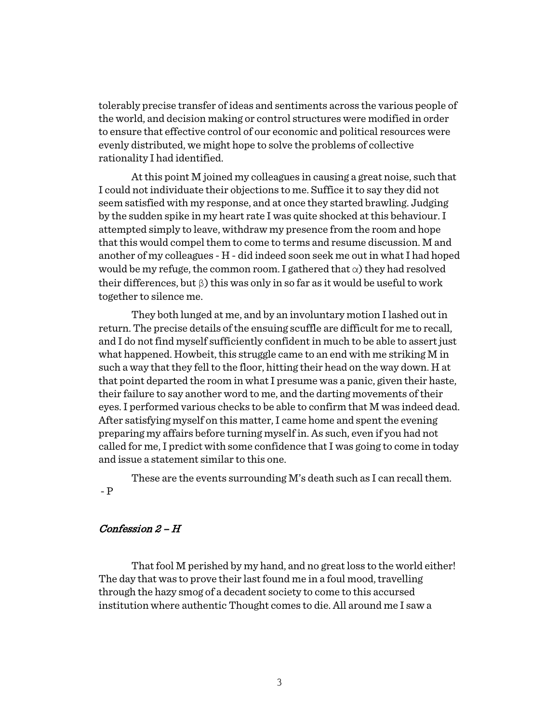tolerably precise transfer of ideas and sentiments across the various people of the world, and decision making or control structures were modified in order to ensure that effective control of our economic and political resources were evenly distributed, we might hope to solve the problems of collective rationality I had identified.

At this point M joined my colleagues in causing a great noise, such that I could not individuate their objections to me. Suffice it to say they did not seem satisfied with my response, and at once they started brawling. Judging by the sudden spike in my heart rate I was quite shocked at this behaviour. I attempted simply to leave, withdraw my presence from the room and hope that this would compel them to come to terms and resume discussion. M and another of my colleagues - H - did indeed soon seek me out in what I had hoped would be my refuge, the common room. I gathered that  $\alpha$ ) they had resolved their differences, but  $\beta$ ) this was only in so far as it would be useful to work together to silence me.

They both lunged at me, and by an involuntary motion I lashed out in return. The precise details of the ensuing scuffle are difficult for me to recall, and I do not find myself sufficiently confident in much to be able to assert just what happened. Howbeit, this struggle came to an end with me striking M in such a way that they fell to the floor, hitting their head on the way down. H at that point departed the room in what I presume was a panic, given their haste, their failure to say another word to me, and the darting movements of their eyes. I performed various checks to be able to confirm that M was indeed dead. After satisfying myself on this matter, I came home and spent the evening preparing my affairs before turning myself in. As such, even if you had not called for me, I predict with some confidence that I was going to come in today and issue a statement similar to this one.

These are the events surrounding M's death such as I can recall them. - P

## Confession 2 – H

That fool M perished by my hand, and no great loss to the world either! The day that was to prove their last found me in a foul mood, travelling through the hazy smog of a decadent society to come to this accursed institution where authentic Thought comes to die. All around me I saw a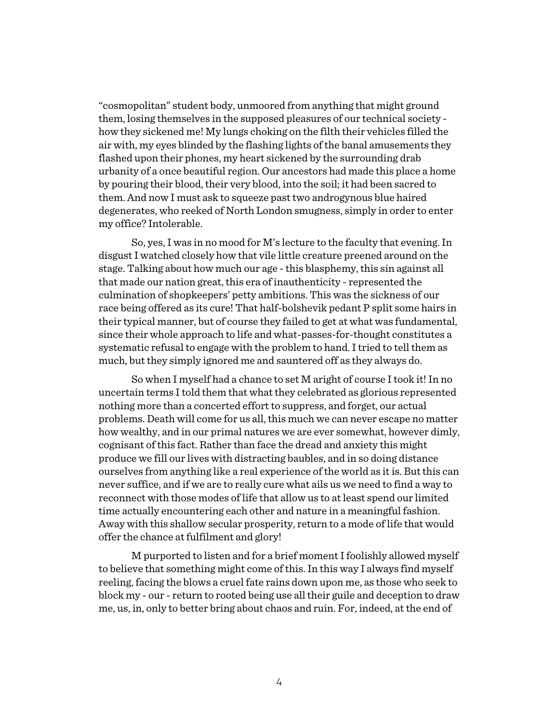"cosmopolitan" student body, unmoored from anything that might ground them, losing themselves in the supposed pleasures of our technical society how they sickened me! My lungs choking on the filth their vehicles filled the air with, my eyes blinded by the flashing lights of the banal amusements they flashed upon their phones, my heart sickened by the surrounding drab urbanity of a once beautiful region. Our ancestors had made this place a home by pouring their blood, their very blood, into the soil; it had been sacred to them. And now I must ask to squeeze past two androgynous blue haired degenerates, who reeked of North London smugness, simply in order to enter my office? Intolerable.

So, yes, I was in no mood for M's lecture to the faculty that evening. In disgust I watched closely how that vile little creature preened around on the stage. Talking about how much our age -this blasphemy, this sin against all that made our nation great, this era of inauthenticity - represented the culmination of shopkeepers' petty ambitions. This was the sickness of our race being offered as its cure! That half-bolshevik pedant P split some hairs in their typical manner, but of course they failed to get at what was fundamental, since their whole approach to life and what-passes-for-thought constitutes a systematic refusal to engage with the problem to hand. I tried to tell them as much, but they simply ignored me and sauntered off as they always do.

So when I myself had a chance to set M aright of course I took it! In no uncertain terms I told them that what they celebrated as glorious represented nothing more than a concerted effort to suppress, and forget, our actual problems. Death will come for us all, this much we can never escape no matter how wealthy, and in our primal natures we are ever somewhat, however dimly, cognisant of this fact. Rather than face the dread and anxiety this might produce we fill our lives with distracting baubles, and in so doing distance ourselves from anything like a real experience of the world as it is. But this can never suffice, and if we are to really cure what ails us we need to find a way to reconnect with those modes of life that allow us to at least spend our limited time actually encountering each other and nature in a meaningful fashion. Away with this shallow secular prosperity, return to a mode of life that would offer the chance at fulfilment and glory!

M purported to listen and for a brief moment I foolishly allowed myself to believe that something might come of this. In this way I always find myself reeling, facing the blows a cruel fate rains down upon me, as those who seek to block my - our - return to rooted being use all their guile and deception to draw me, us, in, only to better bring about chaos and ruin. For, indeed, at the end of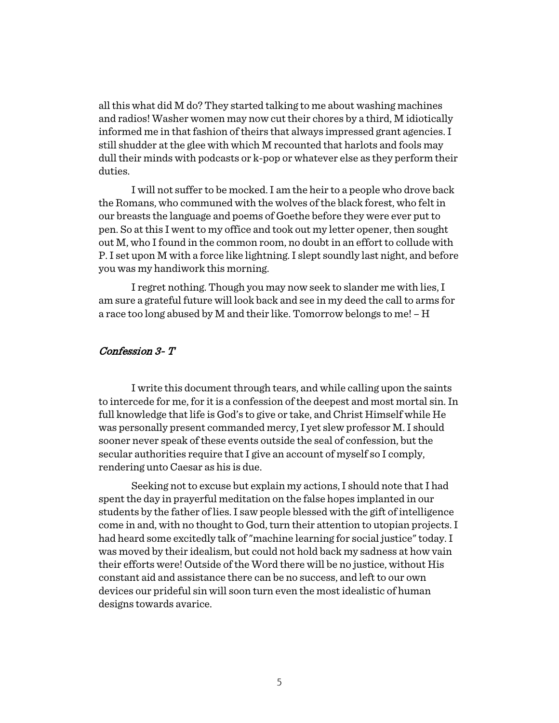all this what did M do? They started talking to me about washing machines and radios! Washer women may now cut their chores by a third, M idiotically informed me in that fashion of theirs that always impressed grant agencies. I still shudder at the glee with which M recounted that harlots and fools may dull their minds with podcasts or k-pop or whatever else as they perform their duties.

I will not suffer to be mocked. I am the heir to a people who drove back the Romans, who communed with the wolves of the black forest, who felt in our breasts the language and poems of Goethe before they were ever put to pen. So at this I went to my office and took out my letter opener, then sought out M, who I found in the common room, no doubt in an effort to collude with P. I set upon M with a force like lightning. I slept soundly last night, and before you was my handiwork this morning.

I regret nothing. Though you may now seek to slander me with lies, I am sure a grateful future will look back and see in my deed the call to arms for a race too long abused by M and their like. Tomorrow belongs to me! – H

#### Confession 3- T

I write this document through tears, and while calling upon the saints to intercede for me, for it is a confession of the deepest and most mortal sin. In full knowledge that life is God's to give or take, and Christ Himself while He was personally present commanded mercy, I yet slew professor M. I should sooner never speak of these events outside the seal of confession, but the secular authorities require that I give an account of myself so I comply, rendering unto Caesar as his is due.

Seeking not to excuse but explain my actions, I should note that I had spent the day in prayerful meditation on the false hopes implanted in our students by the father of lies. I saw people blessed with the gift of intelligence come in and, with no thought to God, turn their attention to utopian projects. I had heard some excitedly talk of "machine learning for social justice" today. I was moved by their idealism, but could not hold back my sadness at how vain their efforts were! Outside of the Word there will be no justice, without His constant aid and assistance there can be no success, and left to our own devices our prideful sin will soon turn even the most idealistic of human designs towards avarice.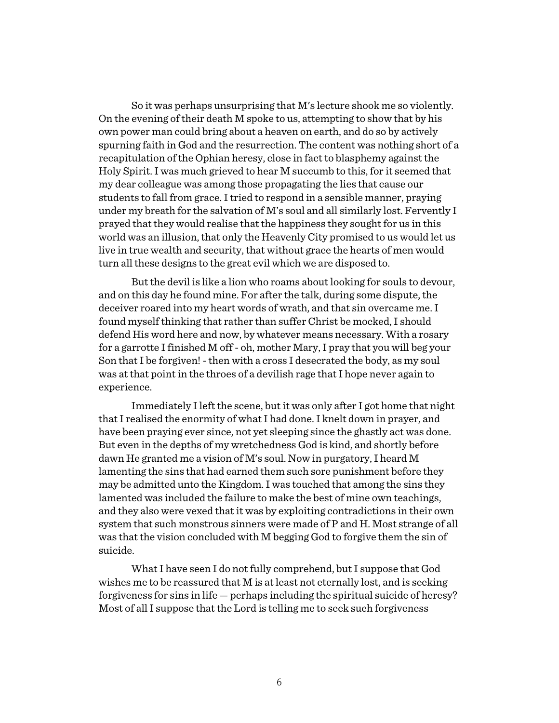So it was perhaps unsurprising that M's lecture shook me so violently. On the evening of their death M spoke to us, attempting to show that by his own power man could bring about a heaven on earth, and do so by actively spurning faith in God and the resurrection. The content was nothing short of a recapitulation of the Ophian heresy, close in fact to blasphemy against the Holy Spirit. I was much grieved to hear M succumb to this, for it seemed that my dear colleague was among those propagating the lies that cause our students to fall from grace. I tried to respond in a sensible manner, praying under my breath for the salvation of M's soul and all similarly lost. Fervently I prayed that they would realise that the happiness they sought for us in this world was an illusion, that only the Heavenly City promised to us would let us live in true wealth and security, that without grace the hearts of men would turn all these designs to the great evil which we are disposed to.

But the devil is like a lion who roams about looking for souls to devour, and on this day he found mine. For after the talk, during some dispute, the deceiver roared into my heart words of wrath, and that sin overcame me. I found myself thinking that rather than suffer Christ be mocked, I should defend His word here and now, by whatever means necessary. With a rosary for a garrotte I finished M off - oh, mother Mary, I pray that you will beg your Son that I be forgiven! - then with a cross I desecrated the body, as my soul was at that point in the throes of a devilish rage that I hope never again to experience.

Immediately I left the scene, but it was only after I got home that night that I realised the enormity of what I had done. I knelt down in prayer, and have been praying ever since, not yet sleeping since the ghastly act was done. But even in the depths of my wretchedness God is kind, and shortly before dawn He granted me a vision of M's soul. Now in purgatory, I heard M lamenting the sins that had earned them such sore punishment before they may be admitted unto the Kingdom. I was touched that among the sins they lamented was included the failure to make the best of mine own teachings, and they also were vexed that it was by exploiting contradictions in their own system that such monstrous sinners were made of P and H. Most strange of all was that the vision concluded with M begging God to forgive them the sin of suicide.

What I have seen I do not fully comprehend, but I suppose that God wishes me to be reassured that M is at least not eternally lost, and is seeking forgiveness for sins in life — perhaps including the spiritual suicide of heresy? Most of all I suppose that the Lord is telling me to seek such forgiveness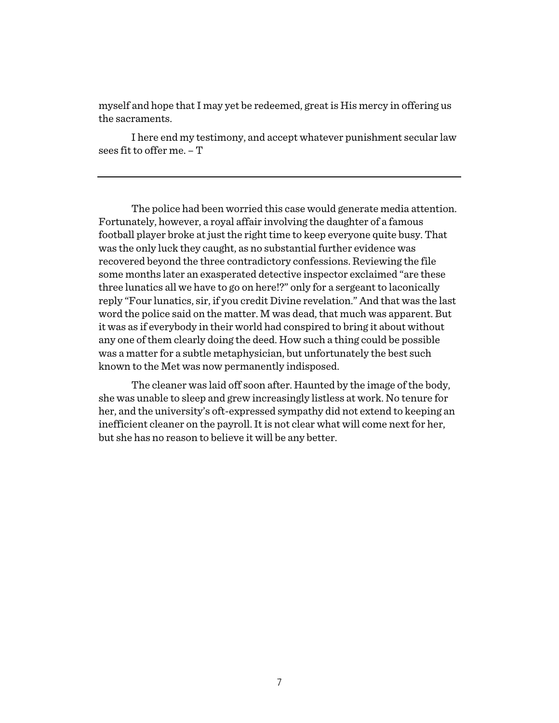myself and hope that I may yet be redeemed, great is His mercy in offering us the sacraments.

I here end my testimony, and accept whatever punishment secular law sees fit to offer me. – T

The police had been worried this case would generate media attention. Fortunately, however, a royal affair involving the daughter of a famous football player broke at just the right time to keep everyone quite busy. That was the only luck they caught, as no substantial further evidence was recovered beyond the three contradictory confessions. Reviewing the file some months later an exasperated detective inspector exclaimed "are these three lunatics all we have to go on here!?" only for a sergeant to laconically reply "Four lunatics, sir, if you credit Divine revelation." And that was the last word the police said on the matter. M was dead, that much was apparent. But it was as if everybody in their world had conspired to bring it about without any one of them clearly doing the deed. How such a thing could be possible was a matter for a subtle metaphysician, but unfortunately the best such known to the Met was now permanently indisposed.

The cleaner was laid off soon after. Haunted by the image of the body, she was unable to sleep and grew increasingly listless at work. No tenure for her, and the university's oft-expressed sympathy did not extend to keeping an inefficient cleaner on the payroll. It is not clear what will come next for her, but she has no reason to believe it will be any better.